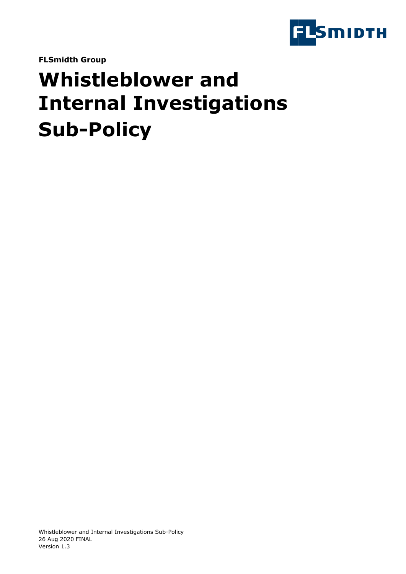

**FLSmidth Group**

# **Whistleblower and Internal Investigations Sub-Policy**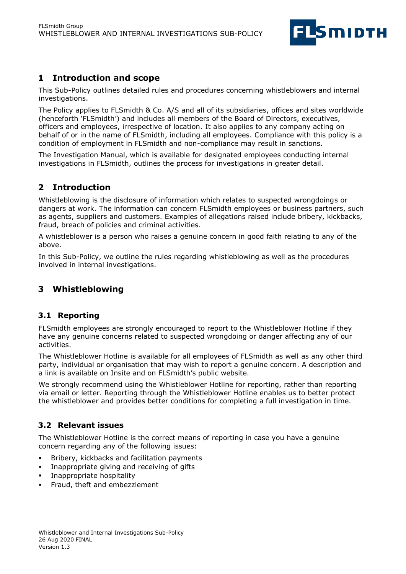

# **1 Introduction and scope**

This Sub-Policy outlines detailed rules and procedures concerning whistleblowers and internal investigations.

The Policy applies to FLSmidth & Co. A/S and all of its subsidiaries, offices and sites worldwide (henceforth 'FLSmidth') and includes all members of the Board of Directors, executives, officers and employees, irrespective of location. It also applies to any company acting on behalf of or in the name of FLSmidth, including all employees. Compliance with this policy is a condition of employment in FLSmidth and non-compliance may result in sanctions.

The Investigation Manual, which is available for designated employees conducting internal investigations in FLSmidth, outlines the process for investigations in greater detail.

# **2 Introduction**

Whistleblowing is the disclosure of information which relates to suspected wrongdoings or dangers at work. The information can concern FLSmidth employees or business partners, such as agents, suppliers and customers. Examples of allegations raised include bribery, kickbacks, fraud, breach of policies and criminal activities.

A whistleblower is a person who raises a genuine concern in good faith relating to any of the above.

In this Sub-Policy, we outline the rules regarding whistleblowing as well as the procedures involved in internal investigations.

## **3 Whistleblowing**

#### **3.1 Reporting**

FLSmidth employees are strongly encouraged to report to the Whistleblower Hotline if they have any genuine concerns related to suspected wrongdoing or danger affecting any of our activities.

The Whistleblower Hotline is available for all employees of FLSmidth as well as any other third party, individual or organisation that may wish to report a genuine concern. A description and a link is available on Insite and on FLSmidth's public website.

We strongly recommend using the Whistleblower Hotline for reporting, rather than reporting via email or letter. Reporting through the Whistleblower Hotline enables us to better protect the whistleblower and provides better conditions for completing a full investigation in time.

## **3.2 Relevant issues**

The Whistleblower Hotline is the correct means of reporting in case you have a genuine concern regarding any of the following issues:

- **EXECT:** Bribery, kickbacks and facilitation payments
- Inappropriate giving and receiving of gifts
- **·** Inappropriate hospitality
- **•** Fraud, theft and embezzlement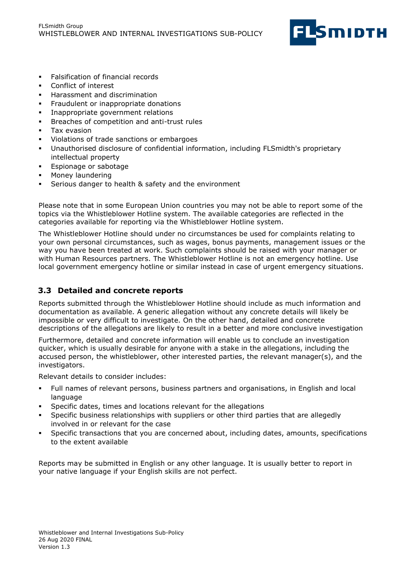

- **Falsification of financial records**
- Conflict of interest
- Harassment and discrimination
- **•** Fraudulent or inappropriate donations
- **·** Inappropriate government relations
- Breaches of competition and anti-trust rules
- Tax evasion
- Violations of trade sanctions or embargoes
- Unauthorised disclosure of confidential information, including FLSmidth's proprietary intellectual property
- Espionage or sabotage
- Money laundering
- Serious danger to health & safety and the environment

Please note that in some European Union countries you may not be able to report some of the topics via the Whistleblower Hotline system. The available categories are reflected in the categories available for reporting via the Whistleblower Hotline system.

The Whistleblower Hotline should under no circumstances be used for complaints relating to your own personal circumstances, such as wages, bonus payments, management issues or the way you have been treated at work. Such complaints should be raised with your manager or with Human Resources partners. The Whistleblower Hotline is not an emergency hotline. Use local government emergency hotline or similar instead in case of urgent emergency situations.

## **3.3 Detailed and concrete reports**

Reports submitted through the Whistleblower Hotline should include as much information and documentation as available. A generic allegation without any concrete details will likely be impossible or very difficult to investigate. On the other hand, detailed and concrete descriptions of the allegations are likely to result in a better and more conclusive investigation

Furthermore, detailed and concrete information will enable us to conclude an investigation quicker, which is usually desirable for anyone with a stake in the allegations, including the accused person, the whistleblower, other interested parties, the relevant manager(s), and the investigators.

Relevant details to consider includes:

- Full names of relevant persons, business partners and organisations, in English and local language
- Specific dates, times and locations relevant for the allegations
- Specific business relationships with suppliers or other third parties that are allegedly involved in or relevant for the case
- Specific transactions that you are concerned about, including dates, amounts, specifications to the extent available

Reports may be submitted in English or any other language. It is usually better to report in your native language if your English skills are not perfect.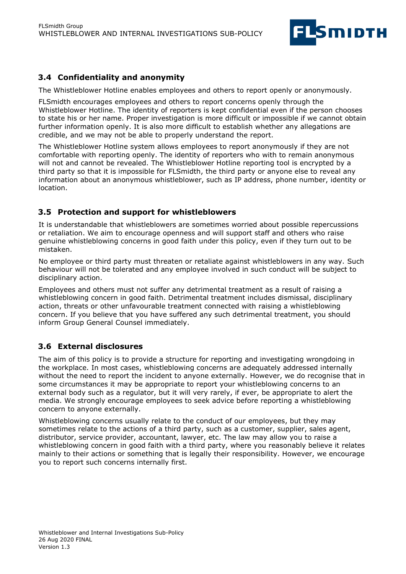

## **3.4 Confidentiality and anonymity**

The Whistleblower Hotline enables employees and others to report openly or anonymously.

FLSmidth encourages employees and others to report concerns openly through the Whistleblower Hotline. The identity of reporters is kept confidential even if the person chooses to state his or her name. Proper investigation is more difficult or impossible if we cannot obtain further information openly. It is also more difficult to establish whether any allegations are credible, and we may not be able to properly understand the report.

The Whistleblower Hotline system allows employees to report anonymously if they are not comfortable with reporting openly. The identity of reporters who with to remain anonymous will not and cannot be revealed. The Whistleblower Hotline reporting tool is encrypted by a third party so that it is impossible for FLSmidth, the third party or anyone else to reveal any information about an anonymous whistleblower, such as IP address, phone number, identity or location.

#### **3.5 Protection and support for whistleblowers**

It is understandable that whistleblowers are sometimes worried about possible repercussions or retaliation. We aim to encourage openness and will support staff and others who raise genuine whistleblowing concerns in good faith under this policy, even if they turn out to be mistaken.

No employee or third party must threaten or retaliate against whistleblowers in any way. Such behaviour will not be tolerated and any employee involved in such conduct will be subject to disciplinary action.

Employees and others must not suffer any detrimental treatment as a result of raising a whistleblowing concern in good faith. Detrimental treatment includes dismissal, disciplinary action, threats or other unfavourable treatment connected with raising a whistleblowing concern. If you believe that you have suffered any such detrimental treatment, you should inform Group General Counsel immediately.

## **3.6 External disclosures**

The aim of this policy is to provide a structure for reporting and investigating wrongdoing in the workplace. In most cases, whistleblowing concerns are adequately addressed internally without the need to report the incident to anyone externally. However, we do recognise that in some circumstances it may be appropriate to report your whistleblowing concerns to an external body such as a regulator, but it will very rarely, if ever, be appropriate to alert the media. We strongly encourage employees to seek advice before reporting a whistleblowing concern to anyone externally.

Whistleblowing concerns usually relate to the conduct of our employees, but they may sometimes relate to the actions of a third party, such as a customer, supplier, sales agent, distributor, service provider, accountant, lawyer, etc. The law may allow you to raise a whistleblowing concern in good faith with a third party, where you reasonably believe it relates mainly to their actions or something that is legally their responsibility. However, we encourage you to report such concerns internally first.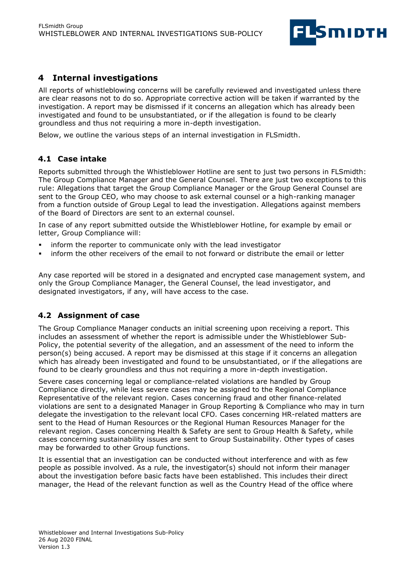

# **4 Internal investigations**

All reports of whistleblowing concerns will be carefully reviewed and investigated unless there are clear reasons not to do so. Appropriate corrective action will be taken if warranted by the investigation. A report may be dismissed if it concerns an allegation which has already been investigated and found to be unsubstantiated, or if the allegation is found to be clearly groundless and thus not requiring a more in-depth investigation.

Below, we outline the various steps of an internal investigation in FLSmidth.

#### **4.1 Case intake**

Reports submitted through the Whistleblower Hotline are sent to just two persons in FLSmidth: The Group Compliance Manager and the General Counsel. There are just two exceptions to this rule: Allegations that target the Group Compliance Manager or the Group General Counsel are sent to the Group CEO, who may choose to ask external counsel or a high-ranking manager from a function outside of Group Legal to lead the investigation. Allegations against members of the Board of Directors are sent to an external counsel.

In case of any report submitted outside the Whistleblower Hotline, for example by email or letter, Group Compliance will:

- inform the reporter to communicate only with the lead investigator
- inform the other receivers of the email to not forward or distribute the email or letter

Any case reported will be stored in a designated and encrypted case management system, and only the Group Compliance Manager, the General Counsel, the lead investigator, and designated investigators, if any, will have access to the case.

#### **4.2 Assignment of case**

The Group Compliance Manager conducts an initial screening upon receiving a report. This includes an assessment of whether the report is admissible under the Whistleblower Sub-Policy, the potential severity of the allegation, and an assessment of the need to inform the person(s) being accused. A report may be dismissed at this stage if it concerns an allegation which has already been investigated and found to be unsubstantiated, or if the allegations are found to be clearly groundless and thus not requiring a more in-depth investigation.

Severe cases concerning legal or compliance-related violations are handled by Group Compliance directly, while less severe cases may be assigned to the Regional Compliance Representative of the relevant region. Cases concerning fraud and other finance-related violations are sent to a designated Manager in Group Reporting & Compliance who may in turn delegate the investigation to the relevant local CFO. Cases concerning HR-related matters are sent to the Head of Human Resources or the Regional Human Resources Manager for the relevant region. Cases concerning Health & Safety are sent to Group Health & Safety, while cases concerning sustainability issues are sent to Group Sustainability. Other types of cases may be forwarded to other Group functions.

It is essential that an investigation can be conducted without interference and with as few people as possible involved. As a rule, the investigator(s) should not inform their manager about the investigation before basic facts have been established. This includes their direct manager, the Head of the relevant function as well as the Country Head of the office where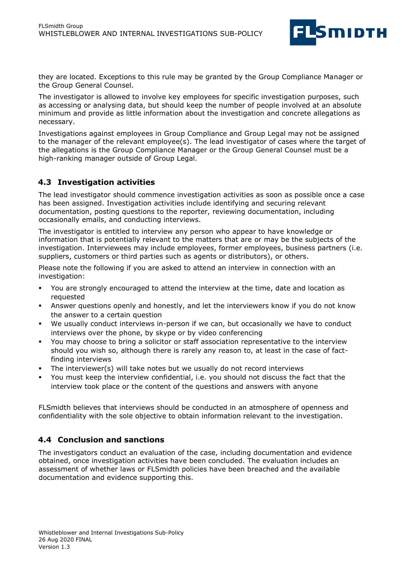

they are located. Exceptions to this rule may be granted by the Group Compliance Manager or the Group General Counsel.

The investigator is allowed to involve key employees for specific investigation purposes, such as accessing or analysing data, but should keep the number of people involved at an absolute minimum and provide as little information about the investigation and concrete allegations as necessary.

Investigations against employees in Group Compliance and Group Legal may not be assigned to the manager of the relevant employee(s). The lead investigator of cases where the target of the allegations is the Group Compliance Manager or the Group General Counsel must be a high-ranking manager outside of Group Legal.

#### **4.3 Investigation activities**

The lead investigator should commence investigation activities as soon as possible once a case has been assigned. Investigation activities include identifying and securing relevant documentation, posting questions to the reporter, reviewing documentation, including occasionally emails, and conducting interviews.

The investigator is entitled to interview any person who appear to have knowledge or information that is potentially relevant to the matters that are or may be the subjects of the investigation. Interviewees may include employees, former employees, business partners (i.e. suppliers, customers or third parties such as agents or distributors), or others.

Please note the following if you are asked to attend an interview in connection with an investigation:

- You are strongly encouraged to attend the interview at the time, date and location as requested
- Answer questions openly and honestly, and let the interviewers know if you do not know the answer to a certain question
- We usually conduct interviews in-person if we can, but occasionally we have to conduct interviews over the phone, by skype or by video conferencing
- You may choose to bring a solicitor or staff association representative to the interview should you wish so, although there is rarely any reason to, at least in the case of factfinding interviews
- The interviewer(s) will take notes but we usually do not record interviews
- You must keep the interview confidential, i.e. you should not discuss the fact that the interview took place or the content of the questions and answers with anyone

FLSmidth believes that interviews should be conducted in an atmosphere of openness and confidentiality with the sole objective to obtain information relevant to the investigation.

#### **4.4 Conclusion and sanctions**

The investigators conduct an evaluation of the case, including documentation and evidence obtained, once investigation activities have been concluded. The evaluation includes an assessment of whether laws or FLSmidth policies have been breached and the available documentation and evidence supporting this.